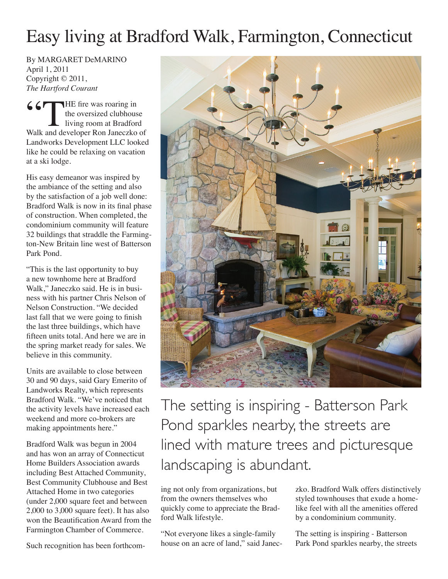## Easy living at Bradford Walk, Farmington, Connecticut

By MARGARET DeMARINO April 1, 2011 Copyright © 2011, *The Hartford Courant*

 $C$   $T$  THE fire was roaring in the oversized clubhouse living room at Bradford Walk and developer Ron Janeczko of Landworks Development LLC looked like he could be relaxing on vacation at a ski lodge.

His easy demeanor was inspired by the ambiance of the setting and also by the satisfaction of a job well done: Bradford Walk is now in its final phase of construction. When completed, the condominium community will feature 32 buildings that straddle the Farmington-New Britain line west of Batterson Park Pond.

"This is the last opportunity to buy a new townhome here at Bradford Walk," Janeczko said. He is in business with his partner Chris Nelson of Nelson Construction. "We decided last fall that we were going to finish the last three buildings, which have fifteen units total. And here we are in the spring market ready for sales. We believe in this community.

Units are available to close between 30 and 90 days, said Gary Emerito of Landworks Realty, which represents Bradford Walk. "We've noticed that the activity levels have increased each weekend and more co-brokers are making appointments here."

Bradford Walk was begun in 2004 and has won an array of Connecticut Home Builders Association awards including Best Attached Community, Best Community Clubhouse and Best Attached Home in two categories (under 2,000 square feet and between 2,000 to 3,000 square feet). It has also won the Beautification Award from the Farmington Chamber of Commerce.

Such recognition has been forthcom-



The setting is inspiring - Batterson Park Pond sparkles nearby, the streets are lined with mature trees and picturesque landscaping is abundant.

ing not only from organizations, but from the owners themselves who quickly come to appreciate the Bradford Walk lifestyle.

"Not everyone likes a single-family house on an acre of land," said Janeczko. Bradford Walk offers distinctively styled townhouses that exude a homelike feel with all the amenities offered by a condominium community.

The setting is inspiring - Batterson Park Pond sparkles nearby, the streets